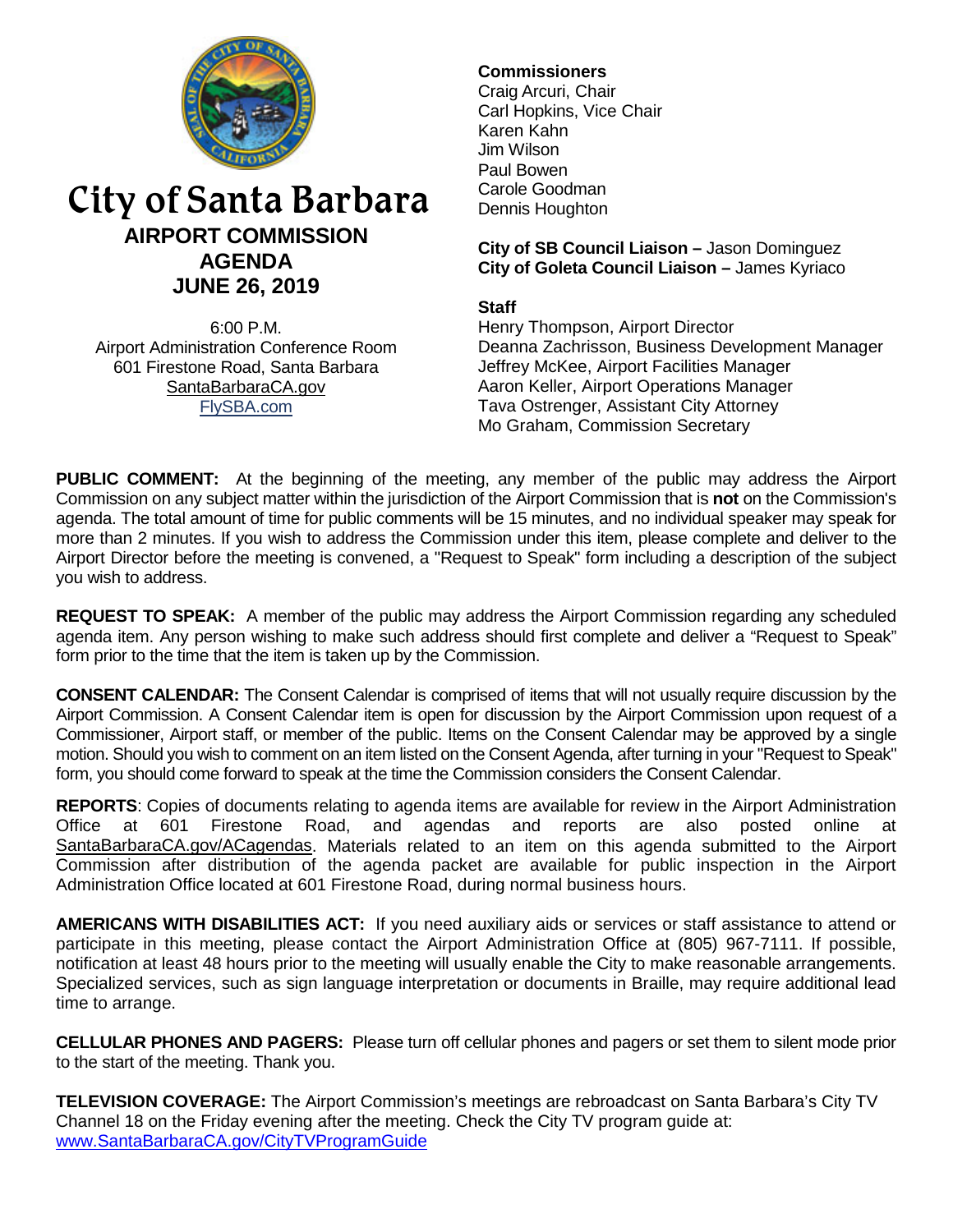

# City of Santa Barbara **AIRPORT COMMISSION AGENDA JUNE 26, 2019**

6:00 P.M. Airport Administration Conference Room 601 Firestone Road, Santa Barbara [SantaBarbaraCA.gov](http://www.santabarbaraca.gov/) [FlySBA.com](http://www.santabarbaraca.gov/gov/depts/flysba/default.asp?utm_source=FlySBA&utm_medium=Redirect&utm_campaign=ReferralTracking)

# **Commissioners**

Craig Arcuri, Chair Carl Hopkins, Vice Chair Karen Kahn Jim Wilson Paul Bowen Carole Goodman Dennis Houghton

**City of SB Council Liaison –** Jason Dominguez **City of Goleta Council Liaison –** James Kyriaco

### **Staff**

Henry Thompson, Airport Director Deanna Zachrisson, Business Development Manager Jeffrey McKee, Airport Facilities Manager Aaron Keller, Airport Operations Manager Tava Ostrenger, Assistant City Attorney Mo Graham, Commission Secretary

**PUBLIC COMMENT:** At the beginning of the meeting, any member of the public may address the Airport Commission on any subject matter within the jurisdiction of the Airport Commission that is **not** on the Commission's agenda. The total amount of time for public comments will be 15 minutes, and no individual speaker may speak for more than 2 minutes. If you wish to address the Commission under this item, please complete and deliver to the Airport Director before the meeting is convened, a "Request to Speak" form including a description of the subject you wish to address.

**REQUEST TO SPEAK:** A member of the public may address the Airport Commission regarding any scheduled agenda item. Any person wishing to make such address should first complete and deliver a "Request to Speak" form prior to the time that the item is taken up by the Commission.

**CONSENT CALENDAR:** The Consent Calendar is comprised of items that will not usually require discussion by the Airport Commission. A Consent Calendar item is open for discussion by the Airport Commission upon request of a Commissioner, Airport staff, or member of the public. Items on the Consent Calendar may be approved by a single motion. Should you wish to comment on an item listed on the Consent Agenda, after turning in your "Request to Speak" form, you should come forward to speak at the time the Commission considers the Consent Calendar.

**REPORTS**: Copies of documents relating to agenda items are available for review in the Airport Administration Office at 601 Firestone Road, and agendas and reports are also posted online at [SantaBarbaraCA.gov/ACagendas.](http://www.santabarbaraca.gov/gov/brdcomm/ac/airport/agendas.asp) Materials related to an item on this agenda submitted to the Airport Commission after distribution of the agenda packet are available for public inspection in the Airport Administration Office located at 601 Firestone Road, during normal business hours.

**AMERICANS WITH DISABILITIES ACT:** If you need auxiliary aids or services or staff assistance to attend or participate in this meeting, please contact the Airport Administration Office at (805) 967-7111. If possible, notification at least 48 hours prior to the meeting will usually enable the City to make reasonable arrangements. Specialized services, such as sign language interpretation or documents in Braille, may require additional lead time to arrange.

**CELLULAR PHONES AND PAGERS:** Please turn off cellular phones and pagers or set them to silent mode prior to the start of the meeting. Thank you.

**TELEVISION COVERAGE:** The Airport Commission's meetings are rebroadcast on Santa Barbara's City TV Channel 18 on the Friday evening after the meeting. Check the City TV program guide at: [www.SantaBarbaraCA.gov/CityTVProgramGuide](http://www.santabarbaraca.gov/CityTVProgramGuide)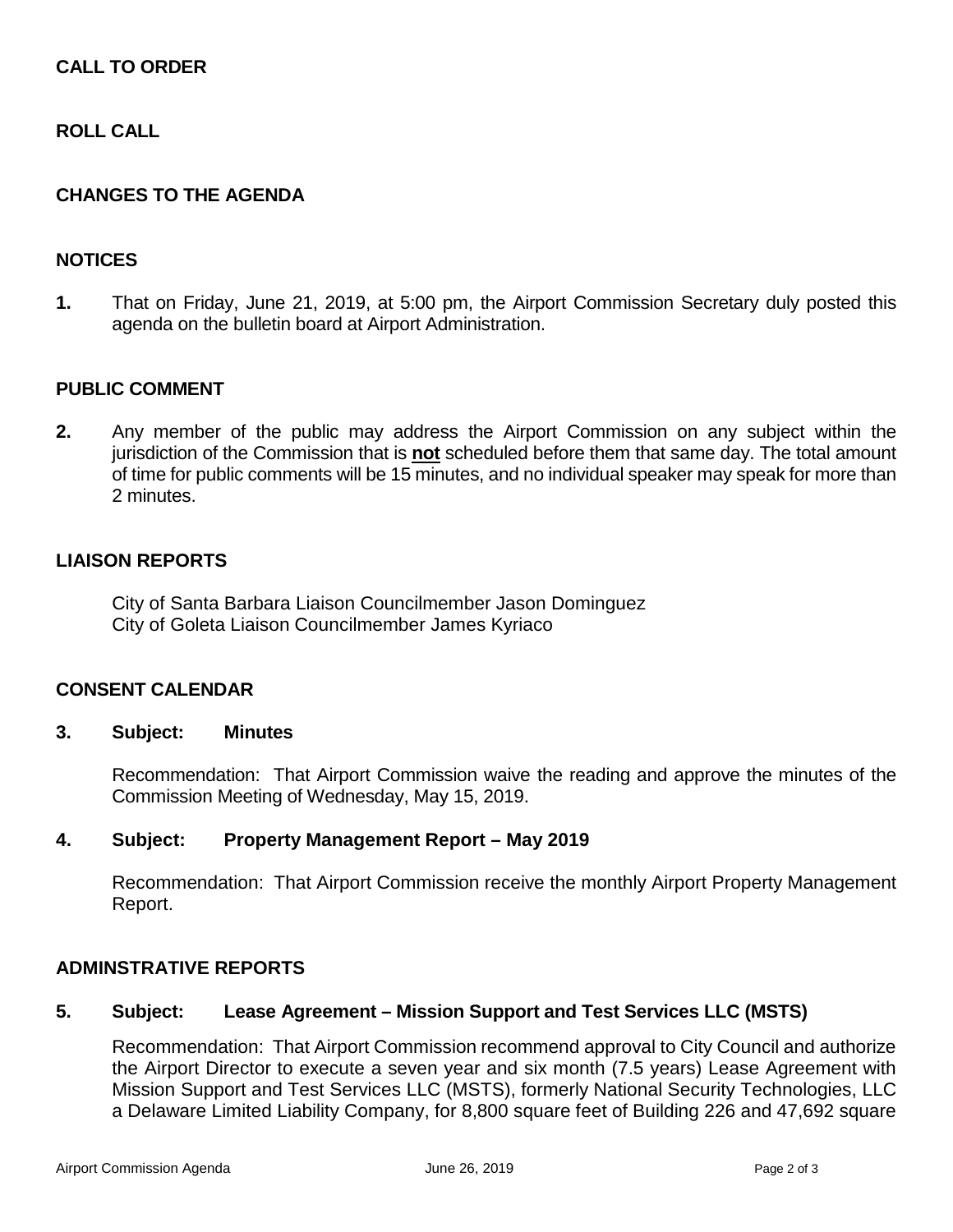# **CALL TO ORDER**

## **ROLL CALL**

### **CHANGES TO THE AGENDA**

### **NOTICES**

**1.** That on Friday, June 21, 2019, at 5:00 pm, the Airport Commission Secretary duly posted this agenda on the bulletin board at Airport Administration.

### **PUBLIC COMMENT**

**2.** Any member of the public may address the Airport Commission on any subject within the jurisdiction of the Commission that is **not** scheduled before them that same day. The total amount of time for public comments will be 15 minutes, and no individual speaker may speak for more than 2 minutes.

#### **LIAISON REPORTS**

City of Santa Barbara Liaison Councilmember Jason Dominguez City of Goleta Liaison Councilmember James Kyriaco

#### **CONSENT CALENDAR**

#### **3. Subject: Minutes**

Recommendation: That Airport Commission waive the reading and approve the minutes of the Commission Meeting of Wednesday, May 15, 2019.

#### **4. Subject: Property Management Report – May 2019**

Recommendation: That Airport Commission receive the monthly Airport Property Management Report.

# **ADMINSTRATIVE REPORTS**

### **5. Subject: Lease Agreement – Mission Support and Test Services LLC (MSTS)**

Recommendation: That Airport Commission recommend approval to City Council and authorize the Airport Director to execute a seven year and six month (7.5 years) Lease Agreement with Mission Support and Test Services LLC (MSTS), formerly National Security Technologies, LLC a Delaware Limited Liability Company, for 8,800 square feet of Building 226 and 47,692 square